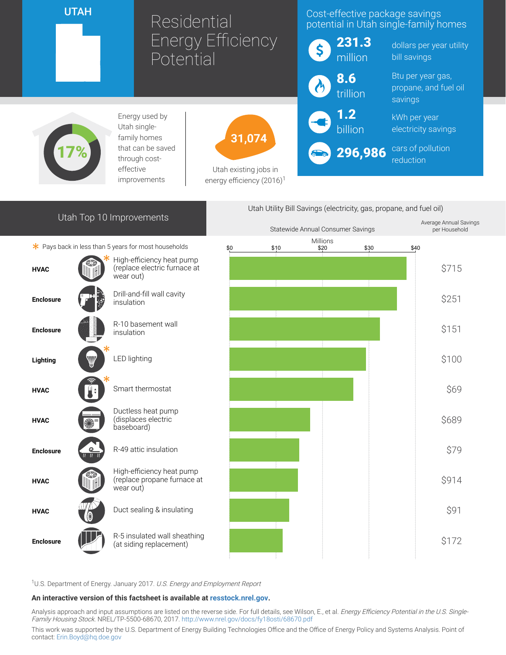UTAH

# Residential Energy Efficiency Potential

## Cost-effective package savings potential in Utah single-family homes

|                        | 231.3<br>million |
|------------------------|------------------|
| $\boldsymbol{\Lambda}$ | 8.6<br>trillion  |

1.2 billion

dollars per year utility bill savings

Btu per year gas, propane, and fuel oil savings

kWh per year electricity savings

296,986 cars of pollution reduction



Energy used by Utah singlefamily homes that can be saved through costeffective improvements



Utah existing jobs in energy efficiency (2016)<sup>1</sup>

## Utah Top 10 Improvements

 $*$  Pays back in less than 5 years for most households





<sup>1</sup>U.S. Department of Energy. January 2017. U.S. Energy and Employment Report

#### An interactive version of this factsheet is available at [resstock.nrel.gov.](https://resstock.nrel.gov/)

Analysis approach and input assumptions are listed on the reverse side. For full details, see Wilson, E., et al. Energy Efficiency Potential in the U.S. Single-Family Housing Stock. NREL/TP-5500-68670, 2017. <http://www.nrel.gov/docs/fy18osti/68670.pdf>

This work was supported by the U.S. Department of Energy Building Technologies Office and the Office of Energy Policy and Systems Analysis. Point of contact: [Erin.Boyd@hq.doe.gov](mailto:Erin.Boyd@hq.doe.gov)